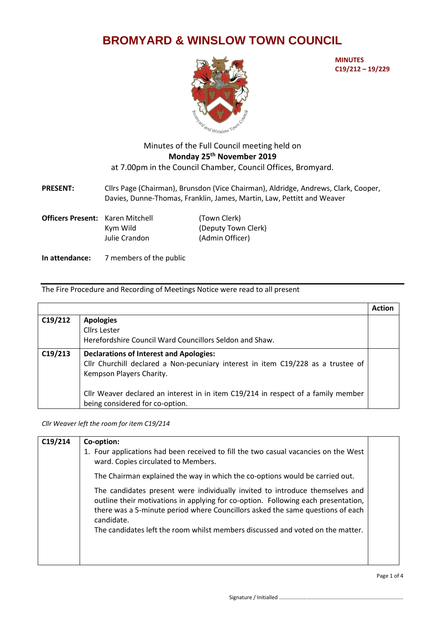## **BROMYARD & WINSLOW TOWN COUNCIL**



**MINUTES C19/212 – 19/229**

## Minutes of the Full Council meeting held on **Monday 25 th November 2019** at 7.00pm in the Council Chamber, Council Offices, Bromyard.

**PRESENT:** Cllrs Page (Chairman), Brunsdon (Vice Chairman), Aldridge, Andrews, Clark, Cooper, Davies, Dunne-Thomas, Franklin, James, Martin, Law, Pettitt and Weaver

| <b>Officers Present:</b> Karen Mitchell |               | (Town Clerk)        |
|-----------------------------------------|---------------|---------------------|
|                                         | Kym Wild      | (Deputy Town Clerk) |
|                                         | Julie Crandon | (Admin Officer)     |

**In attendance:** 7 members of the public

## The Fire Procedure and Recording of Meetings Notice were read to all present

|         |                                                                                   | <b>Action</b> |
|---------|-----------------------------------------------------------------------------------|---------------|
| C19/212 | <b>Apologies</b>                                                                  |               |
|         | <b>Cllrs Lester</b>                                                               |               |
|         | Herefordshire Council Ward Councillors Seldon and Shaw.                           |               |
| C19/213 | <b>Declarations of Interest and Apologies:</b>                                    |               |
|         | Cllr Churchill declared a Non-pecuniary interest in item C19/228 as a trustee of  |               |
|         | Kempson Players Charity.                                                          |               |
|         |                                                                                   |               |
|         | Cllr Weaver declared an interest in in item C19/214 in respect of a family member |               |
|         | being considered for co-option.                                                   |               |

*Cllr Weaver left the room for item C19/214*

| C19/214 | Co-option:<br>1. Four applications had been received to fill the two casual vacancies on the West<br>ward. Copies circulated to Members.                                                                                                                                                                                                            |  |
|---------|-----------------------------------------------------------------------------------------------------------------------------------------------------------------------------------------------------------------------------------------------------------------------------------------------------------------------------------------------------|--|
|         | The Chairman explained the way in which the co-options would be carried out.                                                                                                                                                                                                                                                                        |  |
|         | The candidates present were individually invited to introduce themselves and<br>outline their motivations in applying for co-option. Following each presentation,<br>there was a 5-minute period where Councillors asked the same questions of each<br>candidate.<br>The candidates left the room whilst members discussed and voted on the matter. |  |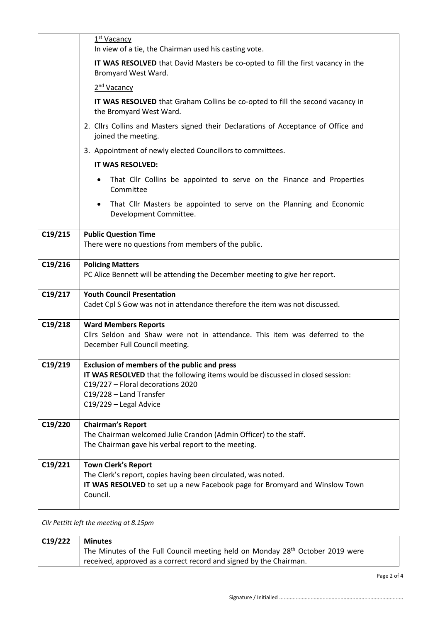|         | 1 <sup>st</sup> Vacancy<br>In view of a tie, the Chairman used his casting vote.                                                                                                                                                |  |
|---------|---------------------------------------------------------------------------------------------------------------------------------------------------------------------------------------------------------------------------------|--|
|         | IT WAS RESOLVED that David Masters be co-opted to fill the first vacancy in the<br>Bromyard West Ward.                                                                                                                          |  |
|         | 2 <sup>nd</sup> Vacancy                                                                                                                                                                                                         |  |
|         | IT WAS RESOLVED that Graham Collins be co-opted to fill the second vacancy in<br>the Bromyard West Ward.                                                                                                                        |  |
|         | 2. Cllrs Collins and Masters signed their Declarations of Acceptance of Office and<br>joined the meeting.                                                                                                                       |  |
|         | 3. Appointment of newly elected Councillors to committees.                                                                                                                                                                      |  |
|         | IT WAS RESOLVED:                                                                                                                                                                                                                |  |
|         | That Cllr Collins be appointed to serve on the Finance and Properties<br>$\bullet$<br>Committee                                                                                                                                 |  |
|         | That Cllr Masters be appointed to serve on the Planning and Economic<br>$\bullet$<br>Development Committee.                                                                                                                     |  |
| C19/215 | <b>Public Question Time</b><br>There were no questions from members of the public.                                                                                                                                              |  |
| C19/216 | <b>Policing Matters</b><br>PC Alice Bennett will be attending the December meeting to give her report.                                                                                                                          |  |
| C19/217 | <b>Youth Council Presentation</b><br>Cadet Cpl S Gow was not in attendance therefore the item was not discussed.                                                                                                                |  |
| C19/218 | <b>Ward Members Reports</b><br>Cllrs Seldon and Shaw were not in attendance. This item was deferred to the<br>December Full Council meeting.                                                                                    |  |
| C19/219 | <b>Exclusion of members of the public and press</b><br>IT WAS RESOLVED that the following items would be discussed in closed session:<br>C19/227 - Floral decorations 2020<br>C19/228 - Land Transfer<br>C19/229 - Legal Advice |  |
| C19/220 | <b>Chairman's Report</b><br>The Chairman welcomed Julie Crandon (Admin Officer) to the staff.<br>The Chairman gave his verbal report to the meeting.                                                                            |  |
| C19/221 | <b>Town Clerk's Report</b><br>The Clerk's report, copies having been circulated, was noted.<br>IT WAS RESOLVED to set up a new Facebook page for Bromyard and Winslow Town<br>Council.                                          |  |

*Cllr Pettitt left the meeting at 8.15pm*

| C19/222 | <b>Minutes</b>                                                                                         |  |
|---------|--------------------------------------------------------------------------------------------------------|--|
|         | <sup>1</sup> The Minutes of the Full Council meeting held on Monday 28 <sup>th</sup> October 2019 were |  |
|         | received, approved as a correct record and signed by the Chairman.                                     |  |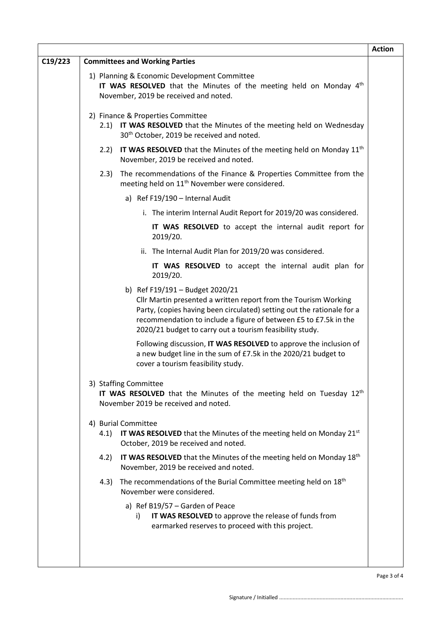|         |                                                                                                                                                                                                                                                                                                              | <b>Action</b> |
|---------|--------------------------------------------------------------------------------------------------------------------------------------------------------------------------------------------------------------------------------------------------------------------------------------------------------------|---------------|
| C19/223 | <b>Committees and Working Parties</b>                                                                                                                                                                                                                                                                        |               |
|         | 1) Planning & Economic Development Committee<br>IT WAS RESOLVED that the Minutes of the meeting held on Monday 4 <sup>th</sup><br>November, 2019 be received and noted.                                                                                                                                      |               |
|         | 2) Finance & Properties Committee<br>2.1) IT WAS RESOLVED that the Minutes of the meeting held on Wednesday<br>30 <sup>th</sup> October, 2019 be received and noted.                                                                                                                                         |               |
|         | 2.2) IT WAS RESOLVED that the Minutes of the meeting held on Monday $11th$<br>November, 2019 be received and noted.                                                                                                                                                                                          |               |
|         | The recommendations of the Finance & Properties Committee from the<br>2.3)<br>meeting held on 11 <sup>th</sup> November were considered.                                                                                                                                                                     |               |
|         | a) Ref F19/190 - Internal Audit                                                                                                                                                                                                                                                                              |               |
|         | i. The interim Internal Audit Report for 2019/20 was considered.                                                                                                                                                                                                                                             |               |
|         | IT WAS RESOLVED to accept the internal audit report for<br>2019/20.                                                                                                                                                                                                                                          |               |
|         | ii. The Internal Audit Plan for 2019/20 was considered.                                                                                                                                                                                                                                                      |               |
|         | IT WAS RESOLVED to accept the internal audit plan for<br>2019/20.                                                                                                                                                                                                                                            |               |
|         | b) Ref F19/191 - Budget 2020/21<br>Cllr Martin presented a written report from the Tourism Working<br>Party, (copies having been circulated) setting out the rationale for a<br>recommendation to include a figure of between £5 to £7.5k in the<br>2020/21 budget to carry out a tourism feasibility study. |               |
|         | Following discussion, IT WAS RESOLVED to approve the inclusion of<br>a new budget line in the sum of £7.5k in the 2020/21 budget to<br>cover a tourism feasibility study.                                                                                                                                    |               |
|         | 3) Staffing Committee<br>IT WAS RESOLVED that the Minutes of the meeting held on Tuesday 12 <sup>th</sup><br>November 2019 be received and noted.                                                                                                                                                            |               |
|         | 4) Burial Committee<br>4.1) IT WAS RESOLVED that the Minutes of the meeting held on Monday 21 <sup>st</sup><br>October, 2019 be received and noted.                                                                                                                                                          |               |
|         | IT WAS RESOLVED that the Minutes of the meeting held on Monday 18 <sup>th</sup><br>4.2)<br>November, 2019 be received and noted.                                                                                                                                                                             |               |
|         | The recommendations of the Burial Committee meeting held on 18 <sup>th</sup><br>4.3)<br>November were considered.                                                                                                                                                                                            |               |
|         | a) Ref B19/57 - Garden of Peace<br>IT WAS RESOLVED to approve the release of funds from<br>i)<br>earmarked reserves to proceed with this project.                                                                                                                                                            |               |
|         |                                                                                                                                                                                                                                                                                                              | Page 3 of     |

 $\Gamma$ 

 $\cdot$  4